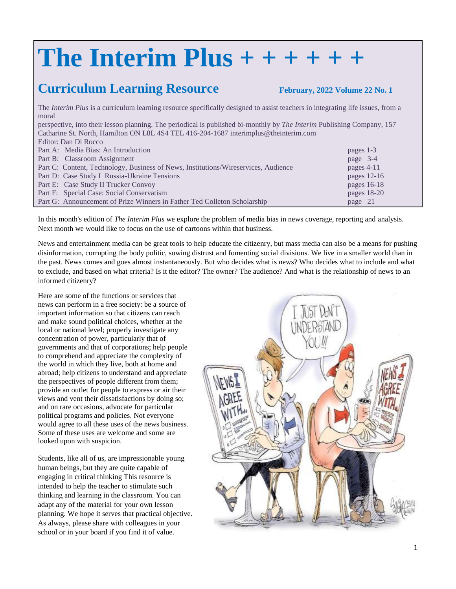# **The Interim Plus + + + + + +**

# **Curriculum Learning Resource** *February, 2022 Volume 22 No. 1*

The *Interim Plus* is a curriculum learning resource specifically designed to assist teachers in integrating life issues, from a moral

perspective, into their lesson planning. The periodical is published bi-monthly by *The Interim* Publishing Company, 157 Catharine St. North, Hamilton ON L8L 4S4 TEL 416-204-1687 interimplus@theinterim.com Editor: Dan Di Rocco Part A: Media Bias: An Introduction pages 1-3 Part B: Classroom Assignment page 3-4 Part C: Content, Technology, Business of News, Institutions/Wireservices, Audience pages 4-11 Part D: Case Study I Russia-Ukraine Tensions pages 12-16 Part E: Case Study II Trucker Convoy pages 16-18 Part F: Special Case: Social Conservatism pages 18-20

In this month's edition of *The Interim Plus* we explore the problem of media bias in news coverage, reporting and analysis. Next month we would like to focus on the use of cartoons within that business.

Part G: Announcement of Prize Winners in Father Ted Colleton Scholarship page 21

News and entertainment media can be great tools to help educate the citizenry, but mass media can also be a means for pushing disinformation, corrupting the body politic, sowing distrust and fomenting social divisions. We live in a smaller world than in the past. News comes and goes almost instantaneously. But who decides what is news? Who decides what to include and what to exclude, and based on what criteria? Is it the editor? The owner? The audience? And what is the relationship of news to an informed citizenry?

Here are some of the functions or services that news can perform in a free society: be a source of important information so that citizens can reach and make sound political choices, whether at the local or national level; properly investigate any concentration of power, particularly that of governments and that of corporations; help people to comprehend and appreciate the complexity of the world in which they live, both at home and abroad; help citizens to understand and appreciate the perspectives of people different from them; provide an outlet for people to express or air their views and vent their dissatisfactions by doing so; and on rare occasions, advocate for particular political programs and policies. Not everyone would agree to all these uses of the news business. Some of these uses are welcome and some are looked upon with suspicion.

Students, like all of us, are impressionable young human beings, but they are quite capable of engaging in critical thinking This resource is intended to help the teacher to stimulate such thinking and learning in the classroom. You can adapt any of the material for your own lesson planning. We hope it serves that practical objective. As always, please share with colleagues in your school or in your board if you find it of value.

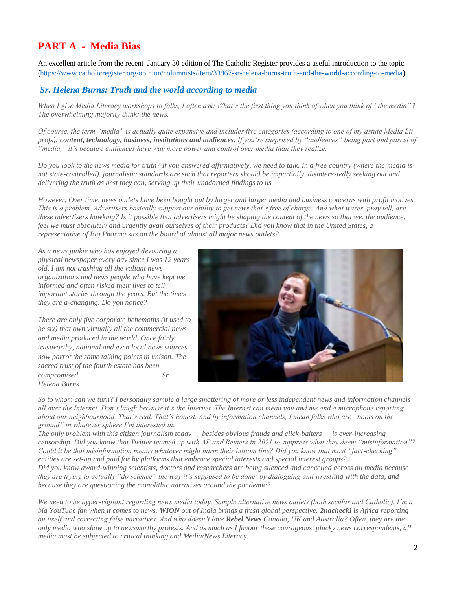# **PART A - Media Bias**

An excellent article from the recent January 30 edition of The Catholic Register provides a useful introduction to the topic. (<https://www.catholicregister.org/opinion/columnists/item/33967-sr-helena-burns-truth-and-the-world-according-to-media>)

#### *Sr. Helena Burns: Truth and the world according to media*

*When I give Media Literacy workshops to folks, I often ask: What's the first thing you think of when you think of "the media"? The overwhelming majority think: the news.*

*Of course, the term "media" is actually quite expansive and includes five categories (according to one of my astute Media Lit profs): content, technology, business, institutions and audiences. If you're surprised by "audiences" being part and parcel of "media," it's because audiences have way more power and control over media than they realize.*

*Do you look to the news media for truth? If you answered affirmatively, we need to talk. In a free country (where the media is not state-controlled), journalistic standards are such that reporters should be impartially, disinterestedly seeking out and delivering the truth as best they can, serving up their unadorned findings to us.* 

*However. Over time, news outlets have been bought out by larger and larger media and business concerns with profit motives. This is a problem. Advertisers basically support our ability to get news that's free of charge. And what wares, pray tell, are these advertisers hawking? Is it possible that advertisers might be shaping the content of the news so that we, the audience, feel we must absolutely and urgently avail ourselves of their products? Did you know that in the United States, a representative of Big Pharma sits on the board of almost all major news outlets?*

*As a news junkie who has enjoyed devouring a physical newspaper every day since I was 12 years old, I am not trashing all the valiant news organizations and news people who have kept me informed and often risked their lives to tell important stories through the years. But the times they are a-changing. Do you notice?*

*There are only five corporate behemoths (it used to be six) that own virtually all the commercial news and media produced in the world. Once fairly trustworthy, national and even local news sources now parrot the same talking points in unison. The sacred trust of the fourth estate has been compromised. Sr. Helena Burns*



*So to whom can we turn? I personally sample a large smattering of more or less independent news and information channels all over the Internet. Don't laugh because it's the Internet. The Internet can mean you and me and a microphone reporting about our neighbourhood. That's real. That's honest. And by information channels, I mean folks who are "boots on the ground" in whatever sphere I'm interested in.*

*The only problem with this citizen journalism today — besides obvious frauds and click-baiters — is ever-increasing censorship. Did you know that Twitter teamed up with AP and Reuters in 2021 to suppress what they deem "misinformation"? Could it be that misinformation means whatever might harm their bottom line? Did you know that most "fact-checking" entities are set-up and paid for by platforms that embrace special interests and special interest groups?*

*Did you know award-winning scientists, doctors and researchers are being silenced and cancelled across all media because they are trying to actually "do science" the way it's supposed to be done: by dialoguing and wrestling with the data, and because they are questioning the monolithic narratives around the pandemic?* 

*We need to be hyper-vigilant regarding news media today. Sample alternative news outlets (both secular and Catholic). I'm a big YouTube fan when it comes to news. WION out of India brings a fresh global perspective. 2nachecki is Africa reporting on itself and correcting false narratives. And who doesn't love Rebel News Canada, UK and Australia? Often, they are the only media who show up to newsworthy protests. And as much as I favour these courageous, plucky news correspondents, all media must be subjected to critical thinking and Media/News Literacy.*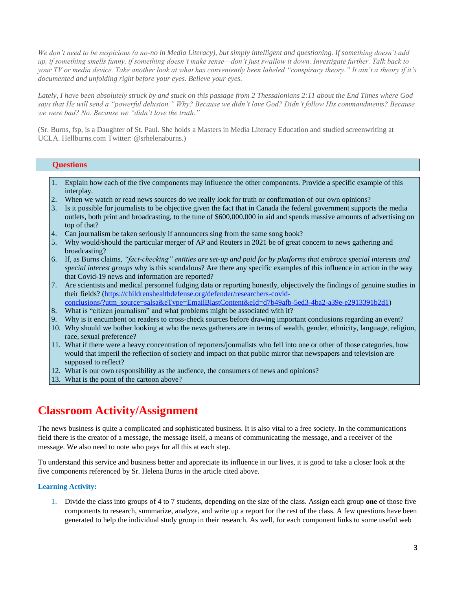*We don't need to be suspicious (a no-no in Media Literacy), but simply intelligent and questioning. If something doesn't add up, if something smells funny, if something doesn't make sense—don't just swallow it down. Investigate further. Talk back to your TV or media device. Take another look at what has conveniently been labeled "conspiracy theory." It ain't a theory if it's documented and unfolding right before your eyes. Believe your eyes.*

*Lately, I have been absolutely struck by and stuck on this passage from 2 Thessalonians 2:11 about the End Times where God says that He will send a "powerful delusion." Why? Because we didn't love God? Didn't follow His commandments? Because we were bad? No. Because we "didn't love the truth."*

(Sr. Burns, fsp, is a Daughter of St. Paul. She holds a Masters in Media Literacy Education and studied screenwriting at UCLA. Hellburns.com Twitter: @srhelenaburns.)

#### **Questions**

- 1. Explain how each of the five components may influence the other components. Provide a specific example of this interplay.
- 2. When we watch or read news sources do we really look for truth or confirmation of our own opinions?
- 3. Is it possible for journalists to be objective given the fact that in Canada the federal government supports the media outlets, both print and broadcasting, to the tune of \$600,000,000 in aid and spends massive amounts of advertising on top of that?
- 4. Can journalism be taken seriously if announcers sing from the same song book?
- 5. Why would/should the particular merger of AP and Reuters in 2021 be of great concern to news gathering and broadcasting?
- 6. If, as Burns claims, *"fact-checking" entities are set-up and paid for by platforms that embrace special interests and special interest groups* why is this scandalous? Are there any specific examples of this influence in action in the way that Covid-19 news and information are reported?
- 7. Are scientists and medical personnel fudging data or reporting honestly, objectively the findings of genuine studies in their fields? [\(https://childrenshealthdefense.org/defender/researchers-covid-](https://childrenshealthdefense.org/defender/researchers-covid-conclusions/?utm_source=salsa&eType=EmailBlastContent&eId=d7b49afb-5ed3-4ba2-a39e-e2913391b2d1)
- [conclusions/?utm\\_source=salsa&eType=EmailBlastContent&eId=d7b49afb-5ed3-4ba2-a39e-e2913391b2d1\)](https://childrenshealthdefense.org/defender/researchers-covid-conclusions/?utm_source=salsa&eType=EmailBlastContent&eId=d7b49afb-5ed3-4ba2-a39e-e2913391b2d1)
- 8. What is "citizen journalism" and what problems might be associated with it?
- 9. Why is it encumbent on readers to cross-check sources before drawing important conclusions regarding an event?
- 10. Why should we bother looking at who the news gatherers are in terms of wealth, gender, ethnicity, language, religion, race, sexual preference?
- 11. What if there were a heavy concentration of reporters/journalists who fell into one or other of those categories, how would that imperil the reflection of society and impact on that public mirror that newspapers and television are supposed to reflect?
- 12. What is our own responsibility as the audience, the consumers of news and opinions?
- 13. What is the point of the cartoon above?

# **Classroom Activity/Assignment**

The news business is quite a complicated and sophisticated business. It is also vital to a free society. In the communications field there is the creator of a message, the message itself, a means of communicating the message, and a receiver of the message. We also need to note who pays for all this at each step.

To understand this service and business better and appreciate its influence in our lives, it is good to take a closer look at the five components referenced by Sr. Helena Burns in the article cited above.

#### **Learning Activity:**

1. Divide the class into groups of 4 to 7 students, depending on the size of the class. Assign each group **one** of those five components to research, summarize, analyze, and write up a report for the rest of the class. A few questions have been generated to help the individual study group in their research. As well, for each component links to some useful web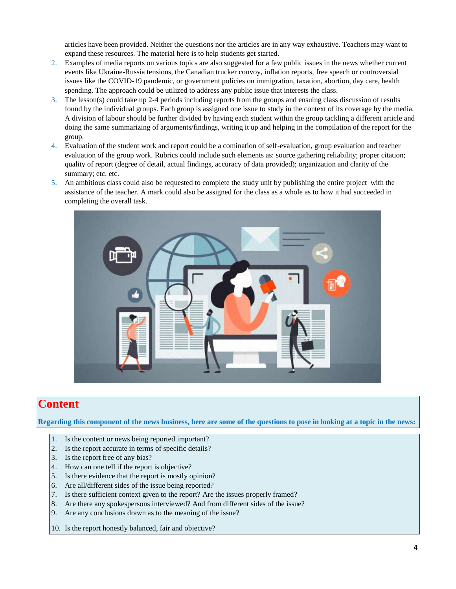articles have been provided. Neither the questions nor the articles are in any way exhaustive. Teachers may want to expand these resources. The material here is to help students get started.

- 2. Examples of media reports on various topics are also suggested for a few public issues in the news whether current events like Ukraine-Russia tensions, the Canadian trucker convoy, inflation reports, free speech or controversial issues like the COVID-19 pandemic, or government policies on immigration, taxation, abortion, day care, health spending. The approach could be utilized to address any public issue that interests the class.
- 3. The lesson(s) could take up 2-4 periods including reports from the groups and ensuing class discussion of results found by the individual groups. Each group is assigned one issue to study in the context of its coverage by the media. A division of labour should be further divided by having each student within the group tackling a different article and doing the same summarizing of arguments/findings, writing it up and helping in the compilation of the report for the group.
- 4. Evaluation of the student work and report could be a comination of self-evaluation, group evaluation and teacher evaluation of the group work. Rubrics could include such elements as: source gathering reliability; proper citation; quality of report (degree of detail, actual findings, accuracy of data provided); organization and clarity of the summary; etc. etc.
- 5. An ambitious class could also be requested to complete the study unit by publishing the entire project with the assistance of the teacher. A mark could also be assigned for the class as a whole as to how it had succeeded in completing the overall task.



# **Content**

**Regarding this component of the news business, here are some of the questions to pose in looking at a topic in the news:**

- 1. Is the content or news being reported important?
- 2. Is the report accurate in terms of specific details?
- 3. Is the report free of any bias?
- 4. How can one tell if the report is objective?
- 5. Is there evidence that the report is mostly opinion?
- 6. Are all/different sides of the issue being reported?
- 7. Is there sufficient context given to the report? Are the issues properly framed?
- 8. Are there any spokespersons interviewed? And from different sides of the issue?
- 9. Are any conclusions drawn as to the meaning of the issue?
- 10. Is the report honestly balanced, fair and objective?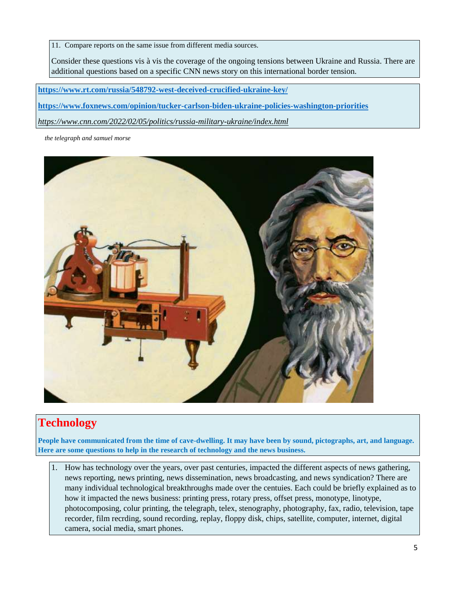11. Compare reports on the same issue from different media sources.

Consider these questions vis à vis the coverage of the ongoing tensions between Ukraine and Russia. There are additional questions based on a specific CNN news story on this international border tension.

**<https://www.rt.com/russia/548792-west-deceived-crucified-ukraine-key/>**

**<https://www.foxnews.com/opinion/tucker-carlson-biden-ukraine-policies-washington-priorities>**

*<https://www.cnn.com/2022/02/05/politics/russia-military-ukraine/index.html>*

 *the telegraph and samuel morse*



# **Technology**

**People have communicated from the time of cave-dwelling. It may have been by sound, pictographs, art, and language. Here are some questions to help in the research of technology and the news business.**

1. How has technology over the years, over past centuries, impacted the different aspects of news gathering, news reporting, news printing, news dissemination, news broadcasting, and news syndication? There are many individual technological breakthroughs made over the centuies. Each could be briefly explained as to how it impacted the news business: printing press, rotary press, offset press, monotype, linotype, photocomposing, colur printing, the telegraph, telex, stenography, photography, fax, radio, television, tape recorder, film recrding, sound recording, replay, floppy disk, chips, satellite, computer, internet, digital camera, social media, smart phones.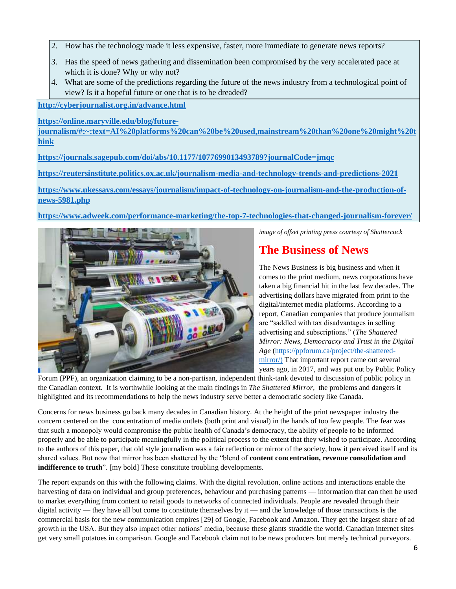2. How has the technology made it less expensive, faster, more immediate to generate news reports?

- 3. Has the speed of news gathering and dissemination been compromised by the very accalerated pace at which it is done? Why or why not?
- 4. What are some of the predictions regarding the future of the news industry from a technological point of view? Is it a hopeful future or one that is to be dreaded?

**<http://cyberjournalist.org.in/advance.html>**

**[https://online.maryville.edu/blog/future-](https://online.maryville.edu/blog/future-journalism/#:~:text=AI%20platforms%20can%20be%20used,mainstream%20than%20one%20might%20think)**

**[journalism/#:~:text=AI%20platforms%20can%20be%20used,mainstream%20than%20one%20might%20t](https://online.maryville.edu/blog/future-journalism/#:~:text=AI%20platforms%20can%20be%20used,mainstream%20than%20one%20might%20think) [hink](https://online.maryville.edu/blog/future-journalism/#:~:text=AI%20platforms%20can%20be%20used,mainstream%20than%20one%20might%20think)**

**<https://journals.sagepub.com/doi/abs/10.1177/1077699013493789?journalCode=jmqc>**

**<https://reutersinstitute.politics.ox.ac.uk/journalism-media-and-technology-trends-and-predictions-2021>**

**[https://www.ukessays.com/essays/journalism/impact-of-technology-on-journalism-and-the-production-of](https://www.ukessays.com/essays/journalism/impact-of-technology-on-journalism-and-the-production-of-news-5981.php)[news-5981.php](https://www.ukessays.com/essays/journalism/impact-of-technology-on-journalism-and-the-production-of-news-5981.php)**

**<https://www.adweek.com/performance-marketing/the-top-7-technologies-that-changed-journalism-forever/>**



*image of offset printing press courtesy of Shuttercock*

# **The Business of News**

The News Business is big business and when it comes to the print medium, news corporations have taken a big financial hit in the last few decades. The advertising dollars have migrated from print to the digital/internet media platforms. According to a report, Canadian companies that produce journalism are "saddled with tax disadvantages in selling advertising and subscriptions." (*The Shattered Mirror: News, Democracxy and Trust in the Digital Age* [\(https://ppforum.ca/project/the-shattered](https://ppforum.ca/project/the-shattered-mirror/)[mirror/\)](https://ppforum.ca/project/the-shattered-mirror/) That important report came out several years ago, in 2017, and was put out by Public Policy

Forum (PPF), an organization claiming to be a non-partisan, independent think-tank devoted to discussion of public policy in the Canadian context. It is worthwhile looking at the main findings in *The Shattered Mirror,* the problems and dangers it highlighted and its recommendations to help the news industry serve better a democratic society like Canada.

Concerns for news business go back many decades in Canadian history. At the height of the print newspaper industry the concern centered on the concentration of media outlets (both print and visual) in the hands of too few people. The fear was that such a monopoly would compromise the public health of Canada's democracy, the ability of people to be informed properly and be able to participate meaningfully in the political process to the extent that they wished to participate. According to the authors of this paper, that old style journalism was a fair reflection or mirror of the society, how it perceived itself and its shared values. But now that mirror has been shattered by the "blend of **content concentration, revenue consolidation and indifference to truth**". [my bold] These constitute troubling developments.

The report expands on this with the following claims. With the digital revolution, online actions and interactions enable the harvesting of data on individual and group preferences, behaviour and purchasing patterns — information that can then be used to market everything from content to retail goods to networks of connected individuals. People are revealed through their digital activity — they have all but come to constitute themselves by it — and the knowledge of those transactions is the commercial basis for the new communication empires [29] of Google, Facebook and Amazon. They get the largest share of ad growth in the USA. But they also impact other nations' media, because these giants straddle the world. Canadian internet sites get very small potatoes in comparison. Google and Facebook claim not to be news producers but merely technical purveyors.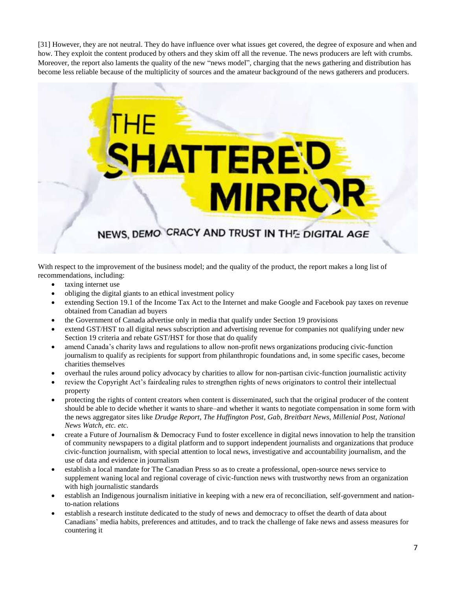[31] However, they are not neutral. They do have influence over what issues get covered, the degree of exposure and when and how. They exploit the content produced by others and they skim off all the revenue. The news producers are left with crumbs. Moreover, the report also laments the quality of the new "news model", charging that the news gathering and distribution has become less reliable because of the multiplicity of sources and the amateur background of the news gatherers and producers.



With respect to the improvement of the business model; and the quality of the product, the report makes a long list of recommendations, including:

- taxing internet use
- obliging the digital giants to an ethical investment policy
- extending Section 19.1 of the Income Tax Act to the Internet and make Google and Facebook pay taxes on revenue obtained from Canadian ad buyers
- the Government of Canada advertise only in media that qualify under Section 19 provisions
- extend GST/HST to all digital news subscription and advertising revenue for companies not qualifying under new Section 19 criteria and rebate GST/HST for those that do qualify
- amend Canada's charity laws and regulations to allow non-profit news organizations producing civic-function journalism to qualify as recipients for support from philanthropic foundations and, in some specific cases, become charities themselves
- overhaul the rules around policy advocacy by charities to allow for non-partisan civic-function journalistic activity
- review the Copyright Act's fairdealing rules to strengthen rights of news originators to control their intellectual property
- protecting the rights of content creators when content is disseminated, such that the original producer of the content should be able to decide whether it wants to share–and whether it wants to negotiate compensation in some form with the news aggregator sites like *Drudge Report*, *The Huffington Post*, *Gab*, *Breitbart News*, *Millenial Post, National News Watch, etc. etc.*
- create a Future of Journalism & Democracy Fund to foster excellence in digital news innovation to help the transition of community newspapers to a digital platform and to support independent journalists and organizations that produce civic-function journalism, with special attention to local news, investigative and accountability journalism, and the use of data and evidence in journalism
- establish a local mandate for The Canadian Press so as to create a professional, open-source news service to supplement waning local and regional coverage of civic-function news with trustworthy news from an organization with high journalistic standards
- establish an Indigenous journalism initiative in keeping with a new era of reconciliation, self-government and nationto-nation relations
- establish a research institute dedicated to the study of news and democracy to offset the dearth of data about Canadians' media habits, preferences and attitudes, and to track the challenge of fake news and assess measures for countering it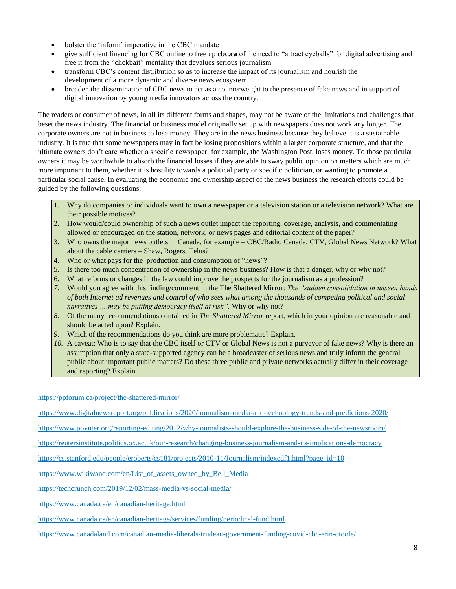- bolster the 'inform' imperative in the CBC mandate
- give sufficient financing for CBC online to free up **cbc.ca** of the need to "attract eyeballs" for digital advertising and free it from the "clickbait" mentality that devalues serious journalism
- transform CBC's content distribution so as to increase the impact of its journalism and nourish the development of a more dynamic and diverse news ecosystem
- broaden the dissemination of CBC news to act as a counterweight to the presence of fake news and in support of digital innovation by young media innovators across the country.

The readers or consumer of news, in all its different forms and shapes, may not be aware of the limitations and challenges that beset the news industry. The financial or business model originally set up with newspapers does not work any longer. The corporate owners are not in business to lose money. They are in the news business because they believe it is a sustainable industry. It is true that some newspapers may in fact be losing propositions within a larger corporate structure, and that the ultimate owners don't care whether a specific newspaper, for example, the Washington Post, loses money. To those particular owners it may be worthwhile to absorb the financial losses if they are able to sway public opinion on matters which are much more important to them, whether it is hostility towards a political party or specific politician, or wanting to promote a particular social cause. In evaluating the economic and ownership aspect of the news business the research efforts could be guided by the following questions:

- 1. Why do companies or individuals want to own a newspaper or a television station or a television network? What are their possible motives?
- 2. How would/could ownership of such a news outlet impact the reporting, coverage, analysis, and commentating allowed or encouraged on the station, network, or news pages and editorial content of the paper?
- 3. Who owns the major news outlets in Canada, for example CBC/Radio Canada, CTV, Global News Network? What about the cable carriers – Shaw, Rogers, Telus?
- 4. Who or what pays for the production and consumption of "news"?
- 5. Is there too much concentration of ownership in the news business? How is that a danger, why or why not?
- 6. What reforms or changes in the law could improve the prospects for the journalism as a profession?
- *7.* Would you agree with this finding/comment in the The Shattered Mirror: *The "sudden consolidation in unseen hands of both Internet ad revenues and control of who sees what among the thousands of competing political and social narratives ….may be putting democracy itself at risk".* Why or why not?
- *8.* Of the many recommendations contained in *The Shattered Mirror* report, which in your opinion are reasonable and should be acted upon? Explain.
- *9.* Which of the recommendations do you think are more problematic? Explain.
- *10.* A caveat: Who is to say that the CBC itself or CTV or Global News is not a purveyor of fake news? Why is there an assumption that only a state-supported agency can be a broadcaster of serious news and truly inform the general public about important public matters? Do these three public and private networks actually differ in their coverage and reporting? Explain.

<https://ppforum.ca/project/the-shattered-mirror/>

<https://www.digitalnewsreport.org/publications/2020/journalism-media-and-technology-trends-and-predictions-2020/>

<https://www.poynter.org/reporting-editing/2012/why-journalists-should-explore-the-business-side-of-the-newsroom/>

<https://reutersinstitute.politics.ox.ac.uk/our-research/changing-business-journalism-and-its-implications-democracy>

[https://cs.stanford.edu/people/eroberts/cs181/projects/2010-11/Journalism/indexcdf1.html?page\\_id=10](https://cs.stanford.edu/people/eroberts/cs181/projects/2010-11/Journalism/indexcdf1.html?page_id=10)

[https://www.wikiwand.com/en/List\\_of\\_assets\\_owned\\_by\\_Bell\\_Media](https://www.wikiwand.com/en/List_of_assets_owned_by_Bell_Media)

<https://techcrunch.com/2019/12/02/mass-media-vs-social-media/>

<https://www.canada.ca/en/canadian-heritage.html>

<https://www.canada.ca/en/canadian-heritage/services/funding/periodical-fund.html>

<https://www.canadaland.com/canadian-media-liberals-trudeau-government-funding-covid-cbc-erin-otoole/>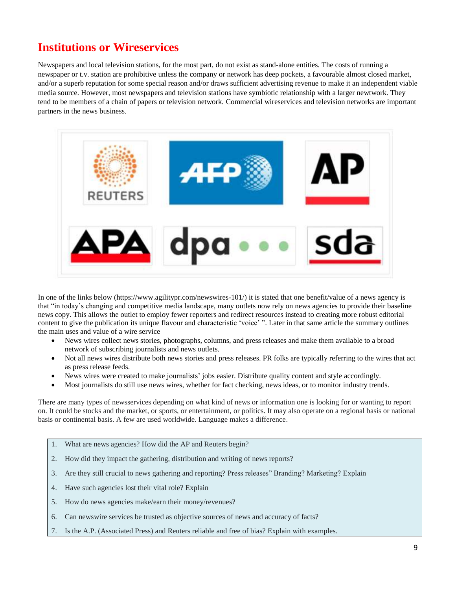# **Institutions or Wireservices**

Newspapers and local television stations, for the most part, do not exist as stand-alone entities. The costs of running a newspaper or t.v. station are prohibitive unless the company or network has deep pockets, a favourable almost closed market, and/or a superb reputation for some special reason and/or draws sufficient advertising revenue to make it an independent viable media source. However, most newspapers and television stations have symbiotic relationship with a larger newtwork. They tend to be members of a chain of papers or television network. Commercial wireservices and television networks are important partners in the news business.



In one of the links below [\(https://www.agilitypr.com/newswires-101/\)](https://www.agilitypr.com/newswires-101/) it is stated that one benefit/value of a news agency is that "in today's changing and competitive media landscape, many outlets now rely on news agencies to provide their baseline news copy. This allows the outlet to employ fewer reporters and redirect resources instead to creating more robust editorial content to give the publication its unique flavour and characteristic 'voice' ". Later in that same article the summary outlines the main uses and value of a wire service

- News wires collect news stories, photographs, columns, and press releases and make them available to a broad network of subscribing journalists and news outlets.
- Not all news wires distribute both news stories and press releases. PR folks are typically referring to the wires that act as press release feeds.
- News wires were created to make journalists' jobs easier. Distribute quality content and style accordingly.
- Most journalists do still use news wires, whether for fact checking, news ideas, or to monitor industry trends.

There are many types of newsservices depending on what kind of news or information one is looking for or wanting to report on. It could be stocks and the market, or sports, or entertainment, or politics. It may also operate on a regional basis or national basis or continental basis. A few are used worldwide. Language makes a difference.

- 1. What are news agencies? How did the AP and Reuters begin?
- 2. How did they impact the gathering, distribution and writing of news reports?
- 3. Are they still crucial to news gathering and reporting? Press releases" Branding? Marketing? Explain
- 4. Have such agencies lost their vital role? Explain
- 5. How do news agencies make/earn their money/revenues?
- 6. Can newswire services be trusted as objective sources of news and accuracy of facts?
- 7. Is the A.P. (Associated Press) and Reuters reliable and free of bias? Explain with examples.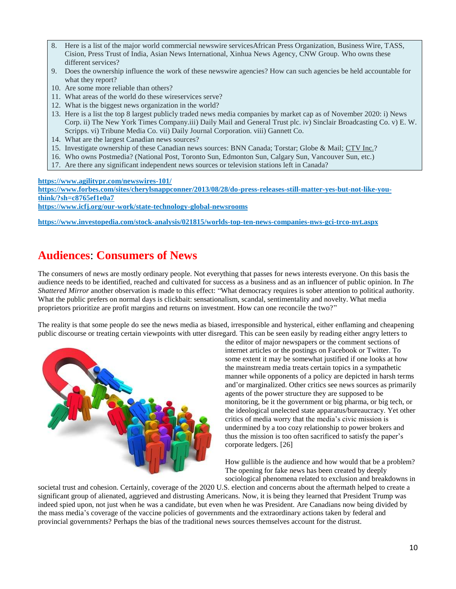- 8. Here is a list of the major world commercial newswire servicesAfrican Press Organization, Business Wire, TASS, Cision, Press Trust of India, Asian News International, Xinhua News Agency, CNW Group. Who owns these different services?
- 9. Does the ownership influence the work of these newswire agencies? How can such agencies be held accountable for what they report?
- 10. Are some more reliable than others?
- 11. What areas of the world do these wireservices serve?
- 12. What is the biggest news organization in the world?
- 13. Here is a list the top 8 largest publicly traded news media companies by market cap as of November 2020: i) News Corp. ii) The New York Times Company.iii) Daily Mail and General Trust plc. iv) Sinclair Broadcasting Co. v) E. W. Scripps. vi) Tribune Media Co. vii) Daily Journal Corporation. viii) Gannett Co.
- 14. What are the largest Canadian news sources?
- 15. Investigate ownership of these Canadian news sources: BNN Canada; Torstar; Globe & Mail; [CTV Inc.?](https://www.google.com/search?q=CTV+Inc.&stick=H4sIAAAAAAAAAONgVuLVT9c3NEwzMEyrKC7OesRowS3w8sc9YSn9SWtOXmPU5OIKzsgvd80rySypFJLmYoOyBKX4uVB18ixi5XAOCVPwzEvWAwBxJTxLVwAAAA&sa=X&ved=2ahUKEwi6sJHp8fD1AhUcjIkEHRcXBewQzIcDKAB6BAgbEAE)
- 16. Who owns Postmedia? (National Post, Toronto Sun, Edmonton Sun, Calgary Sun, Vancouver Sun, etc.)
- 17. Are there any significant independent news sources or television stations left in Canada?

**<https://www.agilitypr.com/newswires-101/>**

**[https://www.forbes.com/sites/cherylsnappconner/2013/08/28/do-press-releases-still-matter-yes-but-not-like-you](https://www.forbes.com/sites/cherylsnappconner/2013/08/28/do-press-releases-still-matter-yes-but-not-like-you-think/?sh=c8765ef1e0a7)[think/?sh=c8765ef1e0a7](https://www.forbes.com/sites/cherylsnappconner/2013/08/28/do-press-releases-still-matter-yes-but-not-like-you-think/?sh=c8765ef1e0a7) <https://www.icfj.org/our-work/state-technology-global-newsrooms>**

**<https://www.investopedia.com/stock-analysis/021815/worlds-top-ten-news-companies-nws-gci-trco-nyt.aspx>**

# **Audiences**: **Consumers of News**

The consumers of news are mostly ordinary people. Not everything that passes for news interests everyone. On this basis the audience needs to be identified, reached and cultivated for success as a business and as an influencer of public opinion. In *The Shattered Mirror* another observation is made to this effect: "What democracy requires is sober attention to political authority. What the public prefers on normal days is clickbait: sensationalism, scandal, sentimentality and novelty. What media proprietors prioritize are profit margins and returns on investment. How can one reconcile the two?"

The reality is that some people do see the news media as biased, irresponsible and hysterical, either enflaming and cheapening public discourse or treating certain viewpoints with utter disregard. This can be seen easily by reading either angry letters to



the editor of major newspapers or the comment sections of internet articles or the postings on Facebook or Twitter. To some extent it may be somewhat justified if one looks at how the mainstream media treats certain topics in a sympathetic manner while opponents of a policy are depicted in harsh terms and'or marginalized. Other critics see news sources as primarily agents of the power structure they are supposed to be monitoring, be it the government or big pharma, or big tech, or the ideological unelected state apparatus/bureaucracy. Yet other critics of media worry that the media's civic mission is undermined by a too cozy relationship to power brokers and thus the mission is too often sacrificed to satisfy the paper's corporate ledgers. [26]

How gullible is the audience and how would that be a problem? The opening for fake news has been created by deeply sociological phenomena related to exclusion and breakdowns in

societal trust and cohesion. Certainly, coverage of the 2020 U.S. election and concerns about the aftermath helped to create a significant group of alienated, aggrieved and distrusting Americans. Now, it is being they learned that President Trump was indeed spied upon, not just when he was a candidate, but even when he was President. Are Canadians now being divided by the mass media's coverage of the vaccine policies of governments and the extraordinary actions taken by federal and provincial governments? Perhaps the bias of the traditional news sources themselves account for the distrust.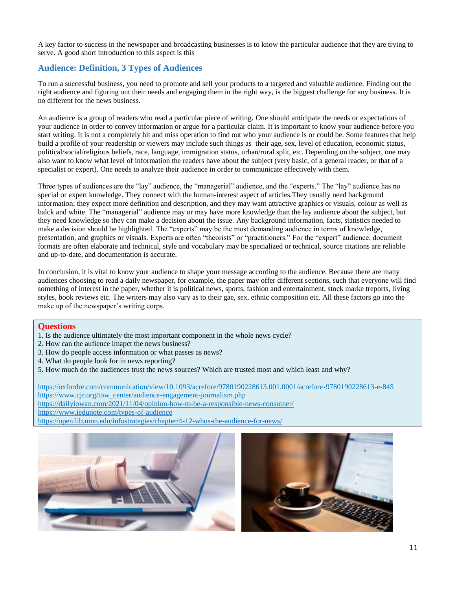A key factor to success in the newspaper and broadcasting businesses is to know the particular audience that they are trying to serve. A good short introduction to this aspect is this

#### **Audience: Definition, 3 Types of Audiences**

To run a successful business, you need to promote and sell your products to a targeted and valuable audience. Finding out the right audience and figuring out their needs and engaging them in the right way, is the biggest challenge for any business. It is no different for the news business.

An audience is a group of readers who read a particular piece of writing. One should anticipate the needs or expectations of your audience in order to convey information or argue for a particular claim. It is important to know your audience before you start writing. It is not a completely hit and miss operation to find out who your audience is or could be. Some features that help build a profile of your readership or viewers may include such things as their age, sex, level of education, economic status, political/social/religious beliefs, race, language, immigration status, urban/rural split, etc. Depending on the subject, one may also want to know what level of information the readers have about the subject (very basic, of a general reader, or that of a specialist or expert). One needs to analyze their audience in order to communicate effectively with them.

Three types of audiences are the "lay" audience, the "managerial" audience, and the "experts." The "lay" audience has no special or expert knowledge. They connect with the human-interest aspect of articles.They usually need background information; they expect more definition and description, and they may want attractive graphics or visuals, colour as well as balck and white. The "managerial" audience may or may have more knowledge than the lay audience about the subject, but they need knowledge so they can make a decision about the issue. Any background information, facts, statistics needed to make a decision should be highlighted. The "experts" may be the most demanding audience in terms of knowledge, presentation, and graphics or visuals. Experts are often "theorists" or "practitioners." For the "expert" audience, document formats are often elaborate and technical, style and vocabulary may be specialized or technical, source citations are reliable and up-to-date, and documentation is accurate.

In conclusion, it is vital to know your audience to shape your message according to the audience. Because there are many audiences choosing to read a daily newspaper, for example, the paper may offer different sections, such that everyone will find something of interest in the paper, whether it is political news, sports, fashion and entertainment, stock marke treports, living styles, book reviews etc. The writers may also vary as to their gae, sex, ethnic composition etc. All these factors go into the make up of the newspaper's writing corps.

#### **Questions**

- 1. Is the audience ultimately the most important component in the whole news cycle?
- 2. How can the aufience imapct the news business?
- 3. How do people access information or what passes as news?
- 4. What do people look for in news reporting?
- 5. How much do the audiences trust the news sources? Which are trusted most and which least and why?

<https://oxfordre.com/communication/view/10.1093/acrefore/9780190228613.001.0001/acrefore-9780190228613-e-845> [https://www.cjr.org/tow\\_center/audience-engagement-journalism.php](https://www.cjr.org/tow_center/audience-engagement-journalism.php) <https://dailyiowan.com/2021/11/04/opinion-how-to-be-a-responsible-news-consumer/> <https://www.iedunote.com/types-of-audience>

<https://open.lib.umn.edu/infostrategies/chapter/4-12-whos-the-audience-for-news/>



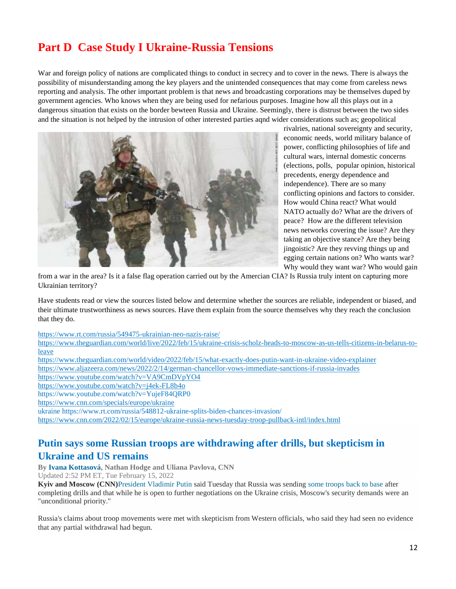# **Part D Case Study I Ukraine-Russia Tensions**

War and foreign policy of nations are complicated things to conduct in secrecy and to cover in the news. There is always the possibility of misunderstanding among the key players and the unintended consequences that may come from careless news reporting and analysis. The other important problem is that news and broadcasting corporations may be themselves duped by government agencies. Who knows when they are being used for nefarious purposes. Imagine how all this plays out in a dangerous situation that exists on the border bewteen Russia and Ukraine. Seemingly, there is distrust between the two sides and the situation is not helped by the intrusion of other interested parties aqnd wider considerations such as; geopolitical



rivalries, national sovereignty and security, economic needs, world military balance of power, conflicting philosophies of life and cultural wars, internal domestic concerns (elections, polls, popular opinion, historical precedents, energy dependence and independence). There are so many conflicting opinions and factors to consider. How would China react? What would NATO actually do? What are the drivers of peace? How are the different television news networks covering the issue? Are they taking an objective stance? Are they being jingoistic? Are they revving things up and egging certain nations on? Who wants war? Why would they want war? Who would gain

from a war in the area? Is it a false flag operation carried out by the Amercian CIA? Is Russia truly intent on capturing more Ukrainian territory?

Have students read or view the sources listed below and determine whether the sources are reliable, independent or biased, and their ultimate trustworthiness as news sources. Have them explain from the source themselves why they reach the conclusion that they do.

<https://www.rt.com/russia/549475-ukrainian-neo-nazis-raise/>

[https://www.theguardian.com/world/live/2022/feb/15/ukraine-crisis-scholz-heads-to-moscow-as-us-tells-citizens-in-belarus-to](https://www.theguardian.com/world/live/2022/feb/15/ukraine-crisis-scholz-heads-to-moscow-as-us-tells-citizens-in-belarus-to-leave)[leave](https://www.theguardian.com/world/live/2022/feb/15/ukraine-crisis-scholz-heads-to-moscow-as-us-tells-citizens-in-belarus-to-leave)

<https://www.theguardian.com/world/video/2022/feb/15/what-exactly-does-putin-want-in-ukraine-video-explainer> <https://www.aljazeera.com/news/2022/2/14/german-chancellor-vows-immediate-sanctions-if-russia-invades>

<https://www.youtube.com/watch?v=VA9CmDVpYO4>

<https://www.youtube.com/watch?v=j4ek-FL8b4o>

<https://www.youtube.com/watch?v=YujeF84QRP0>

<https://www.cnn.com/specials/europe/ukraine>

ukraine<https://www.rt.com/russia/548812-ukraine-splits-biden-chances-invasion/>

<https://www.cnn.com/2022/02/15/europe/ukraine-russia-news-tuesday-troop-pullback-intl/index.html>

#### **Putin says some Russian troops are withdrawing after drills, but skepticism in Ukraine and US remains**

**By [Ivana Kottasová,](https://www.cnn.com/profiles/ivana-kottasova) Nathan Hodge and Uliana Pavlova, CNN** Updated 2:52 PM ET, Tue February 15, 2022

**Kyiv and Moscow (CNN)**[President Vladimir Putin](https://cnn.com/2022/02/14/europe/russia-ukraine-troops-social-media-video-intl/index.html) said Tuesday that Russia was sending [some troops back](http://www.cnn.com/2022/02/15/europe/ukraine-russia-news-tuesday-troop-pullback-intl/index.html) to base after completing drills and that while he is open to further negotiations on the Ukraine crisis, Moscow's security demands were an "unconditional priority."

Russia's claims about troop movements were met with skepticism from Western officials, who said they had seen no evidence that any partial withdrawal had begun.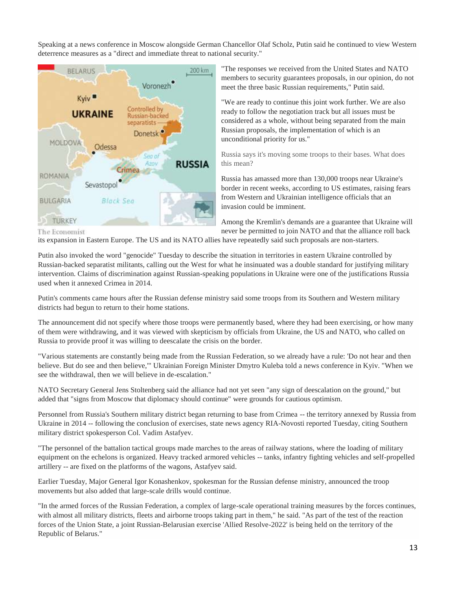Speaking at a news conference in Moscow alongside German Chancellor Olaf Scholz, Putin said he continued to view Western deterrence measures as a "direct and immediate threat to national security."



"The responses we received from the United States and NATO members to security guarantees proposals, in our opinion, do not meet the three basic Russian requirements," Putin said.

"We are ready to continue this joint work further. We are also ready to follow the negotiation track but all issues must be considered as a whole, without being separated from the main Russian proposals, the implementation of which is an unconditional priority for us."

[Russia says it's moving some troops to their bases. What does](https://www.cnn.com/2022/02/15/europe/russia-troops-bases-analysis-intl/index.html)  [this mean?](https://www.cnn.com/2022/02/15/europe/russia-troops-bases-analysis-intl/index.html)

Russia has amassed more than 130,000 troops near Ukraine's border in recent weeks, according to US estimates, raising fears from Western and Ukrainian intelligence officials that an invasion could be imminent.

Among the Kremlin's demands are a guarantee that Ukraine will never be permitted to join NATO and that the alliance roll back

The Economist

its expansion in Eastern Europe. The US and its NATO allies have repeatedly said such proposals are non-starters.

Putin also invoked the word "genocide" Tuesday to describe the situation in territories in eastern Ukraine controlled by Russian-backed separatist militants, calling out the West for what he insinuated was a double standard for justifying military intervention. Claims of discrimination against Russian-speaking populations in Ukraine were one of the justifications Russia used when it annexed Crimea in 2014.

Putin's comments came hours after the Russian defense ministry said some troops from its Southern and Western military districts had begun to return to their home stations.

The announcement did not specify where those troops were permanently based, where they had been exercising, or how many of them were withdrawing, and it was viewed with skepticism by officials from Ukraine, the US and NATO, who called on Russia to provide proof it was willing to deescalate the crisis on the border.

"Various statements are constantly being made from the Russian Federation, so we already have a rule: 'Do not hear and then believe. But do see and then believe,'" Ukrainian Foreign Minister Dmytro Kuleba told a news conference in Kyiv. "When we see the withdrawal, then we will believe in de-escalation."

NATO Secretary General Jens Stoltenberg said the alliance had not yet seen "any sign of deescalation on the ground," but added that "signs from Moscow that diplomacy should continue" were grounds for cautious optimism.

Personnel from Russia's Southern military district began returning to base from Crimea -- the territory annexed by Russia from Ukraine in 2014 -- following the conclusion of exercises, state news agency RIA-Novosti reported Tuesday, citing Southern military district spokesperson Col. Vadim Astafyev.

"The personnel of the battalion tactical groups made marches to the areas of railway stations, where the loading of military equipment on the echelons is organized. Heavy tracked armored vehicles -- tanks, infantry fighting vehicles and self-propelled artillery -- are fixed on the platforms of the wagons, Astafyev said.

Earlier Tuesday, Major General Igor Konashenkov, spokesman for the Russian defense ministry, announced the troop movements but also added that large-scale drills would continue.

"In the armed forces of the Russian Federation, a complex of large-scale operational training measures by the forces continues, with almost all military districts, fleets and airborne troops taking part in them," he said. "As part of the test of the reaction forces of the Union State, a joint Russian-Belarusian exercise 'Allied Resolve-2022' is being held on the territory of the Republic of Belarus."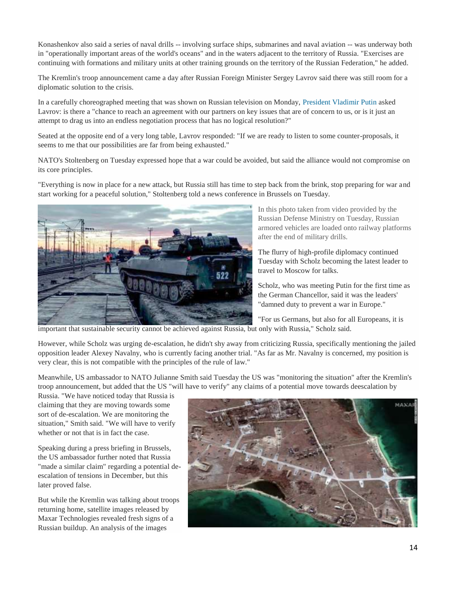Konashenkov also said a series of naval drills -- involving surface ships, submarines and naval aviation -- was underway both in "operationally important areas of the world's oceans" and in the waters adjacent to the territory of Russia. "Exercises are continuing with formations and military units at other training grounds on the territory of the Russian Federation," he added.

The Kremlin's troop announcement came a day after Russian Foreign Minister Sergey Lavrov said there was still room for a diplomatic solution to the crisis.

In a carefully choreographed meeting that was shown on Russian television on Monday, [President Vladimir Putin](http://www.cnn.com/2022/02/15/politics/russia-ukraine-politics-us-putin-diplomacy/index.html) asked Lavrov: is there a "chance to reach an agreement with our partners on key issues that are of concern to us, or is it just an attempt to drag us into an endless negotiation process that has no logical resolution?"

Seated at the opposite end of a very long table, Lavrov responded: "If we are ready to listen to some counter-proposals, it seems to me that our possibilities are far from being exhausted."

NATO's Stoltenberg on Tuesday expressed hope that a war could be avoided, but said the alliance would not compromise on its core principles.

"Everything is now in place for a new attack, but Russia still has time to step back from the brink, stop preparing for war and start working for a peaceful solution," Stoltenberg told a news conference in Brussels on Tuesday.



In this photo taken from video provided by the Russian Defense Ministry on Tuesday, Russian armored vehicles are loaded onto railway platforms after the end of military drills.

The flurry of high-profile diplomacy continued Tuesday with Scholz becoming the latest leader to travel to Moscow for talks.

Scholz, who was meeting Putin for the first time as the German Chancellor, said it was the leaders' "damned duty to prevent a war in Europe."

"For us Germans, but also for all Europeans, it is important that sustainable security cannot be achieved against Russia, but only with Russia," Scholz said.

However, while Scholz was urging de-escalation, he didn't shy away from criticizing Russia, specifically mentioning the jailed opposition leader Alexey Navalny, who is currently facing another trial. "As far as Mr. Navalny is concerned, my position is very clear, this is not compatible with the principles of the rule of law."

Meanwhile, US ambassador to NATO Julianne Smith said Tuesday the US was "monitoring the situation" after the Kremlin's troop announcement, but added that the US "will have to verify" any claims of a potential move towards deescalation by

Russia. "We have noticed today that Russia is claiming that they are moving towards some sort of de-escalation. We are monitoring the situation," Smith said. "We will have to verify whether or not that is in fact the case.

Speaking during a press briefing in Brussels, the US ambassador further noted that Russia "made a similar claim" regarding a potential deescalation of tensions in December, but this later proved false.

But while the Kremlin was talking about troops returning home, satellite images released by Maxar Technologies revealed fresh signs of a Russian buildup. An analysis of the images

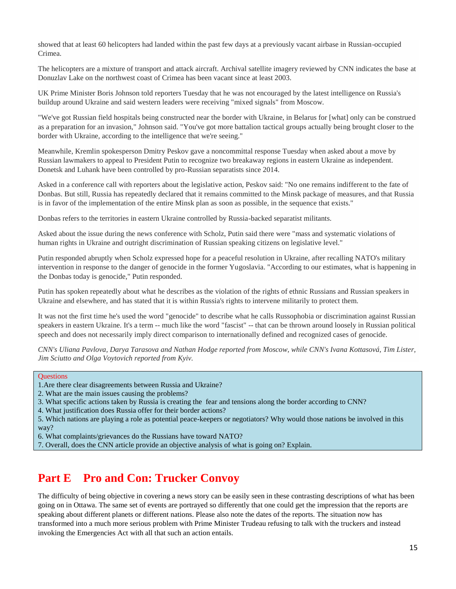showed that at least 60 helicopters had landed within the past few days at a previously vacant airbase in Russian-occupied Crimea.

The helicopters are a mixture of transport and attack aircraft. Archival satellite imagery reviewed by CNN indicates the base at Donuzlav Lake on the northwest coast of Crimea has been vacant since at least 2003.

UK Prime Minister Boris Johnson told reporters Tuesday that he was not encouraged by the latest intelligence on Russia's buildup around Ukraine and said western leaders were receiving "mixed signals" from Moscow.

"We've got Russian field hospitals being constructed near the border with Ukraine, in Belarus for [what] only can be construed as a preparation for an invasion," Johnson said. "You've got more battalion tactical groups actually being brought closer to the border with Ukraine, according to the intelligence that we're seeing."

Meanwhile, Kremlin spokesperson Dmitry Peskov gave a noncommittal response Tuesday when asked about a move by Russian lawmakers to appeal to President Putin to recognize two breakaway regions in eastern Ukraine as independent. Donetsk and Luhank have been controlled by pro-Russian separatists since 2014.

Asked in a conference call with reporters about the legislative action, Peskov said: "No one remains indifferent to the fate of Donbas. But still, Russia has repeatedly declared that it remains committed to the Minsk package of measures, and that Russia is in favor of the implementation of the entire Minsk plan as soon as possible, in the sequence that exists."

Donbas refers to the territories in eastern Ukraine controlled by Russia-backed separatist militants.

Asked about the issue during the news conference with Scholz, Putin said there were "mass and systematic violations of human rights in Ukraine and outright discrimination of Russian speaking citizens on legislative level."

Putin responded abruptly when Scholz expressed hope for a peaceful resolution in Ukraine, after recalling NATO's military intervention in response to the danger of genocide in the former Yugoslavia. "According to our estimates, what is happening in the Donbas today is genocide," Putin responded.

Putin has spoken repeatedly about what he describes as the violation of the rights of ethnic Russians and Russian speakers in Ukraine and elsewhere, and has stated that it is within Russia's rights to intervene militarily to protect them.

It was not the first time he's used the word "genocide" to describe what he calls Russophobia or discrimination against Russian speakers in eastern Ukraine. It's a term -- much like the word "fascist" -- that can be thrown around loosely in Russian political speech and does not necessarily imply direct comparison to internationally defined and recognized cases of genocide.

*CNN's Uliana Pavlova, Darya Tarasova and Nathan Hodge reported from Moscow, while CNN's Ivana Kottasová, Tim Lister, Jim Sciutto and Olga Voytovich reported from Kyiv.*

#### **Ouestions**

- 1.Are there clear disagreements between Russia and Ukraine?
- 2. What are the main issues causing the problems?
- 3. What specific actions taken by Russia is creating the fear and tensions along the border according to CNN?

4. What justification does Russia offer for their border actions?

5. Which nations are playing a role as potential peace-keepers or negotiators? Why would those nations be involved in this way?

6. What complaints/grievances do the Russians have toward NATO?

7. Overall, does the CNN article provide an objective analysis of what is going on? Explain.

# **Part E Pro and Con: Trucker Convoy**

The difficulty of being objective in covering a news story can be easily seen in these contrasting descriptions of what has been going on in Ottawa. The same set of events are portrayed so differently that one could get the impression that the reports are speaking about different planets or different nations. Please also note the dates of the reports. The situation now has transformed into a much more serious problem with Prime Minister Trudeau refusing to talk with the truckers and instead invoking the Emergencies Act with all that such an action entails.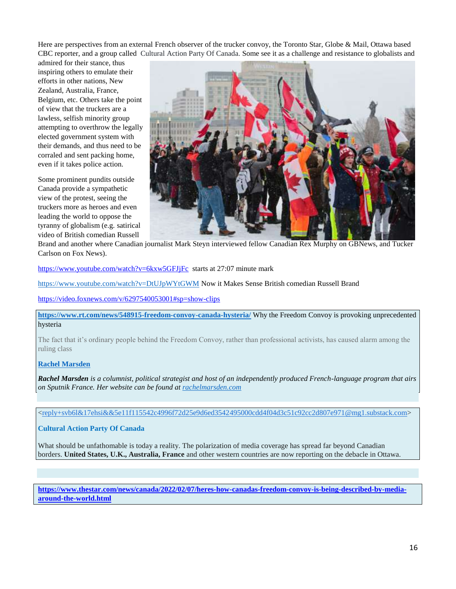Here are perspectives from an external French observer of the trucker convoy, the Toronto Star, Globe & Mail, Ottawa based CBC reporter, and a group called Cultural Action Party Of Canada. Some see it as a challenge and resistance to globalists and

admired for their stance, thus inspiring others to emulate their efforts in other nations, New Zealand, Australia, France, Belgium, etc. Others take the point of view that the truckers are a lawless, selfish minority group attempting to overthrow the legally elected government system with their demands, and thus need to be corraled and sent packing home, even if it takes police action.

Some prominent pundits outside Canada provide a sympathetic view of the protest, seeing the truckers more as heroes and even leading the world to oppose the tyranny of globalism (e.g. satirical video of British comedian Russell



Brand and another where Canadian journalist Mark Steyn interviewed fellow Canadian Rex Murphy on GBNews, and Tucker Carlson on Fox News).

<https://www.youtube.com/watch?v=6kxw5GFJjFc>starts at 27:07 minute mark

<https://www.youtube.com/watch?v=DtUJpWYtGWM> Now it Makes Sense British comedian Russell Brand

<https://video.foxnews.com/v/6297540053001#sp=show-clips>

**<https://www.rt.com/news/548915-freedom-convoy-canada-hysteria/>** Why the Freedom Convoy is provoking unprecedented hysteria

The fact that it's ordinary people behind the Freedom Convoy, rather than professional activists, has caused alarm among the ruling class

#### **[Rachel Marsden](https://www.rt.com/op-ed/authors/rachel-marsden/)**

*Rachel Marsden is a columnist, political strategist and host of an independently produced French-language program that airs on Sputnik France. Her website can be found at [rachelmarsden.com](http://www.rachelmarsden.com/)*

[<reply+svb6l&17ehsi&&5e11f115542c4996f72d25e9d6ed3542495000cdd4f04d3c51c92cc2d807e971@mg1.substack.com>](mailto:reply+svb6l&17ehsi&&5e11f115542c4996f72d25e9d6ed3542495000cdd4f04d3c51c92cc2d807e971@mg1.substack.com)

#### **Cultural Action Party Of Canada**

What should be unfathomable is today a reality. The polarization of media coverage has spread far beyond Canadian borders. **United States, U.K., Australia, France** and other western countries are now reporting on the debacle in Ottawa.

**[https://www.thestar.com/news/canada/2022/02/07/heres-how-canadas-freedom-convoy-is-being-described-by-media](https://www.thestar.com/news/canada/2022/02/07/heres-how-canadas-freedom-convoy-is-being-described-by-media-around-the-world.html)[around-the-world.html](https://www.thestar.com/news/canada/2022/02/07/heres-how-canadas-freedom-convoy-is-being-described-by-media-around-the-world.html)**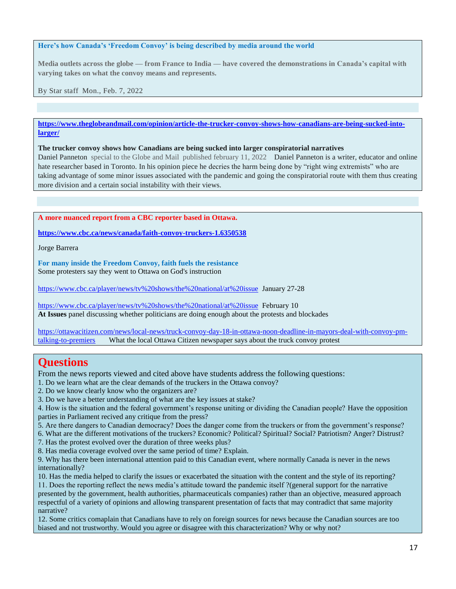#### **Here's how Canada's 'Freedom Convoy' is being described by media around the world**

**Media outlets across the globe — from France to India — have covered the demonstrations in Canada's capital with varying takes on what the convoy means and represents.**

By Star staff Mon., Feb. 7, 2022

**[https://www.theglobeandmail.com/opinion/article-the-trucker-convoy-shows-how-canadians-are-being-sucked-into](https://www.theglobeandmail.com/opinion/article-the-trucker-convoy-shows-how-canadians-are-being-sucked-into-larger/)[larger/](https://www.theglobeandmail.com/opinion/article-the-trucker-convoy-shows-how-canadians-are-being-sucked-into-larger/)**

**The trucker convoy shows how Canadians are being sucked into larger conspiratorial narratives**

Daniel Panneton special to the Globe and Mail published february 11, 2022 Daniel Panneton is a writer, educator and online hate researcher based in Toronto. In his opinion piece he decries the harm being done by "right wing extremists" who are taking advantage of some minor issues associated with the pandemic and going the conspiratorial route with them thus creating more division and a certain social instability with their views.

**A more nuanced report from a CBC reporter based in Ottawa.**

**<https://www.cbc.ca/news/canada/faith-convoy-truckers-1.6350538>**

Jorge Barrera

**For many inside the Freedom Convoy, faith fuels the resistance** Some protesters say they went to Ottawa on God's instruction

<https://www.cbc.ca/player/news/tv%20shows/the%20national/at%20issue>January 27-28

<https://www.cbc.ca/player/news/tv%20shows/the%20national/at%20issue> February 10 **At Issues** panel discussing whether politicians are doing enough about the protests and blockades

[https://ottawacitizen.com/news/local-news/truck-convoy-day-18-in-ottawa-noon-deadline-in-mayors-deal-with-convoy-pm](https://ottawacitizen.com/news/local-news/truck-convoy-day-18-in-ottawa-noon-deadline-in-mayors-deal-with-convoy-pm-talking-to-premiers)[talking-to-premiers](https://ottawacitizen.com/news/local-news/truck-convoy-day-18-in-ottawa-noon-deadline-in-mayors-deal-with-convoy-pm-talking-to-premiers) What the local Ottawa Citizen newspaper says about the truck convoy protest

### **Questions**

From the news reports viewed and cited above have students address the following questions:

- 1. Do we learn what are the clear demands of the truckers in the Ottawa convoy?
- 2. Do we know clearly know who the organizers are?

3. Do we have a better understanding of what are the key issues at stake?

4. How is the situation and the federal government's response uniting or dividing the Canadian people? Have the opposition parties in Parliament recived any critique from the press?

- 5. Are there dangers to Canadian democracy? Does the danger come from the truckers or from the government's response?
- 6. What are the different motivations of the truckers? Economic? Political? Spiritual? Social? Patriotism? Anger? Distrust?
- 7. Has the protest evolved over the duration of three weeks plus?

8. Has media coverage evolved over the same period of time? Explain.

9. Why has there been international attention paid to this Canadian event, where normally Canada is never in the news internationally?

10. Has the media helped to clarify the issues or exacerbated the situation with the content and the style of its reporting?

11. Does the reporting reflect the news media's attitude toward the pandemic itself ?(general support for the narrative presented by the government, health authorities, pharmaceuticals companies) rather than an objective, measured approach respectful of a variety of opinions and allowing transparent presentation of facts that may contradict that same majority narrative?

12. Some critics comaplain that Canadians have to rely on foreign sources for news because the Canadian sources are too biased and not trustworthy. Would you agree or disagree with this characterization? Why or why not?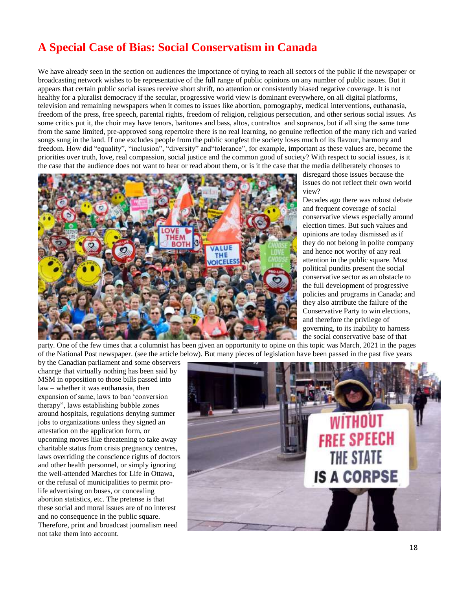# **A Special Case of Bias: Social Conservatism in Canada**

We have already seen in the section on audiences the importance of trying to reach all sectors of the public if the newspaper or broadcasting network wishes to be representative of the full range of public opinions on any number of public issues. But it appears that certain public social issues receive short shrift, no attention or consistently biased negative coverage. It is not healthy for a pluralist democracy if the secular, progressive world view is dominant everywhere, on all digital platforms, television and remaining newspapers when it comes to issues like abortion, pornography, medical interventions, euthanasia, freedom of the press, free speech, parental rights, freedom of religion, religious persecution, and other serious social issues. As some critics put it, the choir may have tenors, baritones and bass, altos, contraltos and sopranos, but if all sing the same tune from the same limited, pre-approved song repertoire there is no real learning, no genuine reflection of the many rich and varied songs sung in the land. If one excludes people from the public songfest the society loses much of its flavour, harmony and freedom. How did "equality", "inclusion", "diversity" and"tolerance", for example, important as these values are, become the priorities over truth, love, real compassion, social justice and the common good of society? With respect to social issues, is it the case that the audience does not want to hear or read about them, or is it the case that the media deliberately chooses to



disregard those issues because the issues do not reflect their own world view?

Decades ago there was robust debate and frequent coverage of social conservative views especially around election times. But such values and opinions are today dismissed as if they do not belong in polite company and hence not worthy of any real attention in the public square. Most political pundits present the social conservative sector as an obstacle to the full development of progressive policies and programs in Canada; and they also atrribute the failure of the Conservative Party to win elections, and therefore the privilege of governing, to its inability to harness the social conservative base of that

party. One of the few times that a columnist has been given an opportunity to opine on this topic was March, 2021 in the pages of the National Post newspaper. (see the article below). But many pieces of legislation have been passed in the past five years

by the Canadian parliament and some observers chanrge that virtually nothing has been said by MSM in opposition to those bills passed into law – whether it was euthanasia, then expansion of same, laws to ban 'conversion therapy", laws establishing bubble zones around hospitals, regulations denying summer jobs to organizations unless they signed an attestation on the application form, or upcoming moves like threatening to take away charitable status from crisis pregnancy centres, laws overriding the conscience rights of doctors and other health personnel, or simply ignoring the well-attended Marches for Life in Ottawa, or the refusal of municipalities to permit prolife advertising on buses, or concealing abortion statistics, etc. The pretense is that these social and moral issues are of no interest and no consequence in the public square. Therefore, print and broadcast journalism need not take them into account.

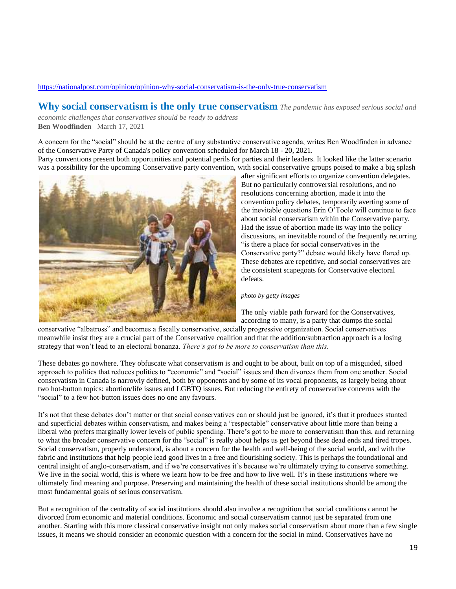#### <https://nationalpost.com/opinion/opinion-why-social-conservatism-is-the-only-true-conservatism>

#### **Why social conservatism is the only true conservatism** *The pandemic has exposed serious social and*

*economic challenges that conservatives should be ready to address* **Ben Woodfinden** March 17, 2021

A concern for the "social" should be at the centre of any substantive conservative agenda, writes Ben Woodfinden in advance of the Conservative Party of Canada's policy convention scheduled for March 18 - 20, 2021.

Party conventions present both opportunities and potential perils for parties and their leaders. It looked like the latter scenario was a possibility for the upcoming Conservative party convention, with social conservative groups poised to make a big splash



after significant efforts to organize convention delegates. But no particularly controversial resolutions, and no resolutions concerning abortion, made it into the convention policy debates, temporarily averting some of the inevitable questions Erin O'Toole will continue to face about social conservatism within the Conservative party. Had the issue of abortion made its way into the policy discussions, an inevitable round of the frequently recurring "is there a place for social conservatives in the Conservative party?" debate would likely have flared up. These debates are repetitive, and social conservatives are the consistent scapegoats for Conservative electoral defeats.

#### *photo by getty images*

The only viable path forward for the Conservatives, according to many, is a party that dumps the social

conservative "albatross" and becomes a fiscally conservative, socially progressive organization. Social conservatives meanwhile insist they are a crucial part of the Conservative coalition and that the addition/subtraction approach is a losing strategy that won't lead to an electoral bonanza. *There's got to be more to conservatism than this.*

These debates go nowhere. They obfuscate what conservatism is and ought to be about, built on top of a misguided, siloed approach to politics that reduces politics to "economic" and "social" issues and then divorces them from one another. Social conservatism in Canada is narrowly defined, both by opponents and by some of its vocal proponents, as largely being about two hot-button topics: abortion/life issues and LGBTQ issues. But reducing the entirety of conservative concerns with the "social" to a few hot-button issues does no one any favours.

It's not that these debates don't matter or that social conservatives can or should just be ignored, it's that it produces stunted and superficial debates within conservatism, and makes being a "respectable" conservative about little more than being a liberal who prefers marginally lower levels of public spending. There's got to be more to conservatism than this, and returning to what the broader conservative concern for the "social" is really about helps us get beyond these dead ends and tired tropes. Social conservatism, properly understood, is about a concern for the health and well-being of the social world, and with the fabric and institutions that help people lead good lives in a free and flourishing society. This is perhaps the foundational and central insight of anglo-conservatism, and if we're conservatives it's because we're ultimately trying to conserve something. We live in the social world, this is where we learn how to be free and how to live well. It's in these institutions where we ultimately find meaning and purpose. Preserving and maintaining the health of these social institutions should be among the most fundamental goals of serious conservatism.

But a recognition of the centrality of social institutions should also involve a recognition that social conditions cannot be divorced from economic and material conditions. Economic and social conservatism cannot just be separated from one another. Starting with this more classical conservative insight not only makes social conservatism about more than a few single issues, it means we should consider an economic question with a concern for the social in mind. Conservatives have no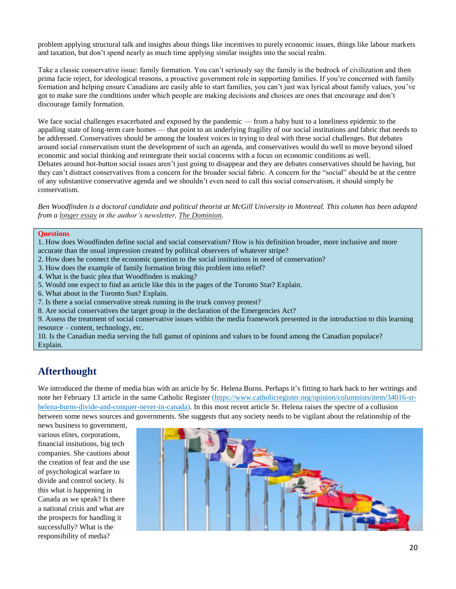problem applying structural talk and insights about things like incentives to purely economic issues, things like labour markets and taxation, but don't spend nearly as much time applying similar insights into the social realm.

Take a classic conservative issue: family formation. You can't seriously say the family is the bedrock of civilization and then prima facie reject, for ideological reasons, a proactive government role in supporting families. If you're concerned with family formation and helping ensure Canadians are easily able to start families, you can't just wax lyrical about family values, you've got to make sure the conditions under which people are making decisions and choices are ones that encourage and don't discourage family formation.

We face social challenges exacerbated and exposed by the pandemic — from a baby bust to a loneliness epidemic to the appalling state of long-term care homes — that point to an underlying fragility of our social institutions and fabric that needs to be addressed. Conservatives should be among the loudest voices in trying to deal with these social challenges. But debates around social conservatism stunt the development of such an agenda, and conservatives would do well to move beyond siloed economic and social thinking and reintegrate their social concerns with a focus on economic conditions as well. Debates around hot-button social issues aren't just going to disappear and they are debates conservatives should be having, but they can't distract conservatives from a concern for the broader social fabric. A concern for the "social" should be at the centre of any substantive conservative agenda and we shouldn't even need to call this social conservatism, it should simply be conservatism.

*Ben Woodfinden is a doctoral candidate and political theorist at McGill University in Montreal. This column has been adapted from a [longer essay](https://thedominion.substack.com/p/a-renewed-social-conservative-agenda) in the author's newsletter, [The Dominion.](https://thedominion.substack.com/)*

#### **Questions**

1. How does Woodfinden define social and social conservatism? How is his definition broader, more inclusive and more accurate than the usual impression created by political observers of whatever stripe?

- 2. How does he connect the economic question to the social institutions in need of conservation?
- 3. How does the example of family formation bring this problem into relief?
- 4. What is the basic plea that Woodfinden is making?
- 5. Would one expect to find an article like this in the pages of the Toronto Star? Explain.
- 6. What about in the Toronto Sun? Explain.
- 7. Is there a social conservative streak running in the truck convoy protest?
- 8. Are social conservatives the target group in the declaration of the Emergencies Act?

9. Assess the treatment of social conservative issues within the media framework presented in the introduction to this learning resource – content, technology, etc.

10. Is the Canadian media serving the full gamut of opinions and values to be found among the Canadian populace? Explain.

#### **Afterthought**

We introduced the theme of media bias with an article by Sr. Helena Burns. Perhaps it's fitting to hark back to her writings and note her February 13 article in the same Catholic Register [\(https://www.catholicregister.org/opinion/columnists/item/34016-sr](https://www.catholicregister.org/opinion/columnists/item/34016-sr-helena-burns-divide-and-conquer-never-in-canada)[helena-burns-divide-and-conquer-never-in-canada\)](https://www.catholicregister.org/opinion/columnists/item/34016-sr-helena-burns-divide-and-conquer-never-in-canada). In this most recent article Sr. Helena raises the spectre of a collusion between some news sources and governments. She suggests that any society needs to be vigilant about the relationship of the

news business to government, various elites, corporations, financial insitutions, big tech companies. She cautions about the creation of fear and the use of psychological warfare to divide and control society. Is this what is happening in Canada as we speak? Is there a national crisis and what are the prospects for handling it successfully? What is the responsibility of media?